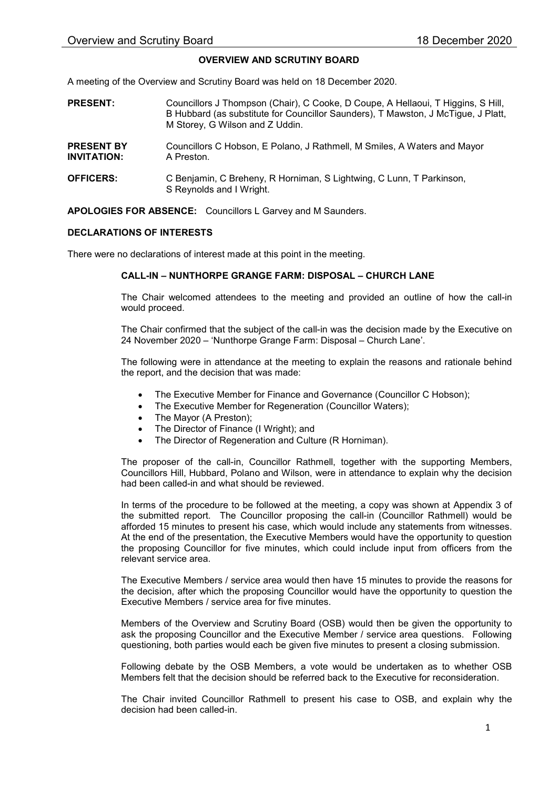## OVERVIEW AND SCRUTINY BOARD

A meeting of the Overview and Scrutiny Board was held on 18 December 2020.

| <b>PRESENT:</b>                  | Councillors J Thompson (Chair), C Cooke, D Coupe, A Hellaoui, T Higgins, S Hill,<br>B Hubbard (as substitute for Councillor Saunders), T Mawston, J McTigue, J Platt,<br>M Storey, G Wilson and Z Uddin. |
|----------------------------------|----------------------------------------------------------------------------------------------------------------------------------------------------------------------------------------------------------|
| <b>PRESENT BY</b><br>INVITATION: | Councillors C Hobson, E Polano, J Rathmell, M Smiles, A Waters and Mayor<br>A Preston.                                                                                                                   |
| <b>OFFICERS:</b>                 | C Benjamin, C Breheny, R Horniman, S Lightwing, C Lunn, T Parkinson,                                                                                                                                     |

APOLOGIES FOR ABSENCE: Councillors L Garvey and M Saunders.

S Reynolds and I Wright.

## DECLARATIONS OF INTERESTS

There were no declarations of interest made at this point in the meeting.

## CALL-IN – NUNTHORPE GRANGE FARM: DISPOSAL – CHURCH LANE

The Chair welcomed attendees to the meeting and provided an outline of how the call-in would proceed.

The Chair confirmed that the subject of the call-in was the decision made by the Executive on 24 November 2020 – 'Nunthorpe Grange Farm: Disposal – Church Lane'.

The following were in attendance at the meeting to explain the reasons and rationale behind the report, and the decision that was made:

- The Executive Member for Finance and Governance (Councillor C Hobson);
- The Executive Member for Regeneration (Councillor Waters);
- The Mayor (A Preston);
- The Director of Finance (I Wright); and
- The Director of Regeneration and Culture (R Horniman).

The proposer of the call-in, Councillor Rathmell, together with the supporting Members, Councillors Hill, Hubbard, Polano and Wilson, were in attendance to explain why the decision had been called-in and what should be reviewed.

In terms of the procedure to be followed at the meeting, a copy was shown at Appendix 3 of the submitted report. The Councillor proposing the call-in (Councillor Rathmell) would be afforded 15 minutes to present his case, which would include any statements from witnesses. At the end of the presentation, the Executive Members would have the opportunity to question the proposing Councillor for five minutes, which could include input from officers from the relevant service area.

The Executive Members / service area would then have 15 minutes to provide the reasons for the decision, after which the proposing Councillor would have the opportunity to question the Executive Members / service area for five minutes.

Members of the Overview and Scrutiny Board (OSB) would then be given the opportunity to ask the proposing Councillor and the Executive Member / service area questions. Following questioning, both parties would each be given five minutes to present a closing submission.

Following debate by the OSB Members, a vote would be undertaken as to whether OSB Members felt that the decision should be referred back to the Executive for reconsideration.

The Chair invited Councillor Rathmell to present his case to OSB, and explain why the decision had been called-in.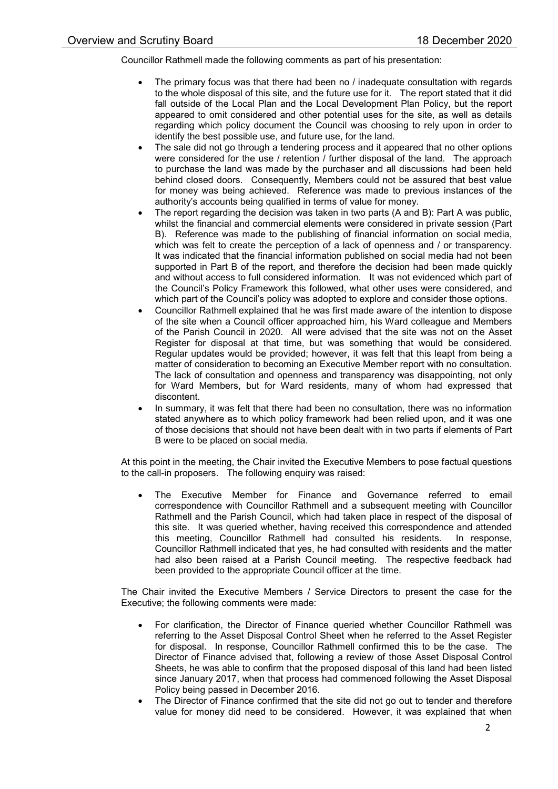Councillor Rathmell made the following comments as part of his presentation:

- The primary focus was that there had been no / inadequate consultation with regards to the whole disposal of this site, and the future use for it. The report stated that it did fall outside of the Local Plan and the Local Development Plan Policy, but the report appeared to omit considered and other potential uses for the site, as well as details regarding which policy document the Council was choosing to rely upon in order to identify the best possible use, and future use, for the land.
- The sale did not go through a tendering process and it appeared that no other options were considered for the use / retention / further disposal of the land. The approach to purchase the land was made by the purchaser and all discussions had been held behind closed doors. Consequently, Members could not be assured that best value for money was being achieved. Reference was made to previous instances of the authority's accounts being qualified in terms of value for money.
- The report regarding the decision was taken in two parts (A and B): Part A was public, whilst the financial and commercial elements were considered in private session (Part B). Reference was made to the publishing of financial information on social media, which was felt to create the perception of a lack of openness and / or transparency. It was indicated that the financial information published on social media had not been supported in Part B of the report, and therefore the decision had been made quickly and without access to full considered information. It was not evidenced which part of the Council's Policy Framework this followed, what other uses were considered, and which part of the Council's policy was adopted to explore and consider those options.
- Councillor Rathmell explained that he was first made aware of the intention to dispose of the site when a Council officer approached him, his Ward colleague and Members of the Parish Council in 2020. All were advised that the site was not on the Asset Register for disposal at that time, but was something that would be considered. Regular updates would be provided; however, it was felt that this leapt from being a matter of consideration to becoming an Executive Member report with no consultation. The lack of consultation and openness and transparency was disappointing, not only for Ward Members, but for Ward residents, many of whom had expressed that discontent.
- In summary, it was felt that there had been no consultation, there was no information stated anywhere as to which policy framework had been relied upon, and it was one of those decisions that should not have been dealt with in two parts if elements of Part B were to be placed on social media.

At this point in the meeting, the Chair invited the Executive Members to pose factual questions to the call-in proposers. The following enquiry was raised:

 The Executive Member for Finance and Governance referred to email correspondence with Councillor Rathmell and a subsequent meeting with Councillor Rathmell and the Parish Council, which had taken place in respect of the disposal of this site. It was queried whether, having received this correspondence and attended this meeting, Councillor Rathmell had consulted his residents. In response, Councillor Rathmell indicated that yes, he had consulted with residents and the matter had also been raised at a Parish Council meeting. The respective feedback had been provided to the appropriate Council officer at the time.

The Chair invited the Executive Members / Service Directors to present the case for the Executive; the following comments were made:

- For clarification, the Director of Finance queried whether Councillor Rathmell was referring to the Asset Disposal Control Sheet when he referred to the Asset Register for disposal. In response, Councillor Rathmell confirmed this to be the case. The Director of Finance advised that, following a review of those Asset Disposal Control Sheets, he was able to confirm that the proposed disposal of this land had been listed since January 2017, when that process had commenced following the Asset Disposal Policy being passed in December 2016.
- The Director of Finance confirmed that the site did not go out to tender and therefore value for money did need to be considered. However, it was explained that when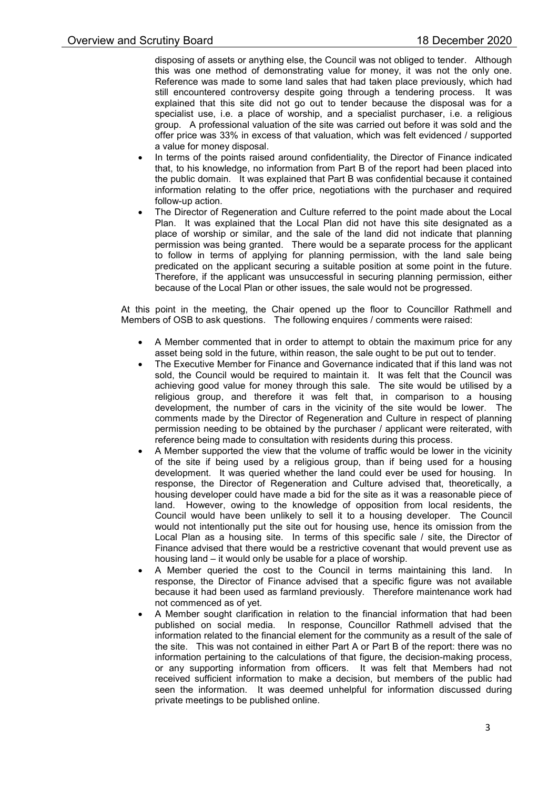disposing of assets or anything else, the Council was not obliged to tender. Although this was one method of demonstrating value for money, it was not the only one. Reference was made to some land sales that had taken place previously, which had still encountered controversy despite going through a tendering process. It was explained that this site did not go out to tender because the disposal was for a specialist use, i.e. a place of worship, and a specialist purchaser, i.e. a religious group. A professional valuation of the site was carried out before it was sold and the offer price was 33% in excess of that valuation, which was felt evidenced / supported a value for money disposal.

- In terms of the points raised around confidentiality, the Director of Finance indicated that, to his knowledge, no information from Part B of the report had been placed into the public domain. It was explained that Part B was confidential because it contained information relating to the offer price, negotiations with the purchaser and required follow-up action.
- The Director of Regeneration and Culture referred to the point made about the Local Plan. It was explained that the Local Plan did not have this site designated as a place of worship or similar, and the sale of the land did not indicate that planning permission was being granted. There would be a separate process for the applicant to follow in terms of applying for planning permission, with the land sale being predicated on the applicant securing a suitable position at some point in the future. Therefore, if the applicant was unsuccessful in securing planning permission, either because of the Local Plan or other issues, the sale would not be progressed.

At this point in the meeting, the Chair opened up the floor to Councillor Rathmell and Members of OSB to ask questions. The following enquires / comments were raised:

- A Member commented that in order to attempt to obtain the maximum price for any asset being sold in the future, within reason, the sale ought to be put out to tender.
- The Executive Member for Finance and Governance indicated that if this land was not sold, the Council would be required to maintain it. It was felt that the Council was achieving good value for money through this sale. The site would be utilised by a religious group, and therefore it was felt that, in comparison to a housing development, the number of cars in the vicinity of the site would be lower. The comments made by the Director of Regeneration and Culture in respect of planning permission needing to be obtained by the purchaser / applicant were reiterated, with reference being made to consultation with residents during this process.
- A Member supported the view that the volume of traffic would be lower in the vicinity of the site if being used by a religious group, than if being used for a housing development. It was queried whether the land could ever be used for housing. In response, the Director of Regeneration and Culture advised that, theoretically, a housing developer could have made a bid for the site as it was a reasonable piece of land. However, owing to the knowledge of opposition from local residents, the Council would have been unlikely to sell it to a housing developer. The Council would not intentionally put the site out for housing use, hence its omission from the Local Plan as a housing site. In terms of this specific sale / site, the Director of Finance advised that there would be a restrictive covenant that would prevent use as housing land – it would only be usable for a place of worship.
- A Member queried the cost to the Council in terms maintaining this land. In response, the Director of Finance advised that a specific figure was not available because it had been used as farmland previously. Therefore maintenance work had not commenced as of yet.
- A Member sought clarification in relation to the financial information that had been published on social media. In response, Councillor Rathmell advised that the information related to the financial element for the community as a result of the sale of the site. This was not contained in either Part A or Part B of the report: there was no information pertaining to the calculations of that figure, the decision-making process, or any supporting information from officers. It was felt that Members had not received sufficient information to make a decision, but members of the public had seen the information. It was deemed unhelpful for information discussed during private meetings to be published online.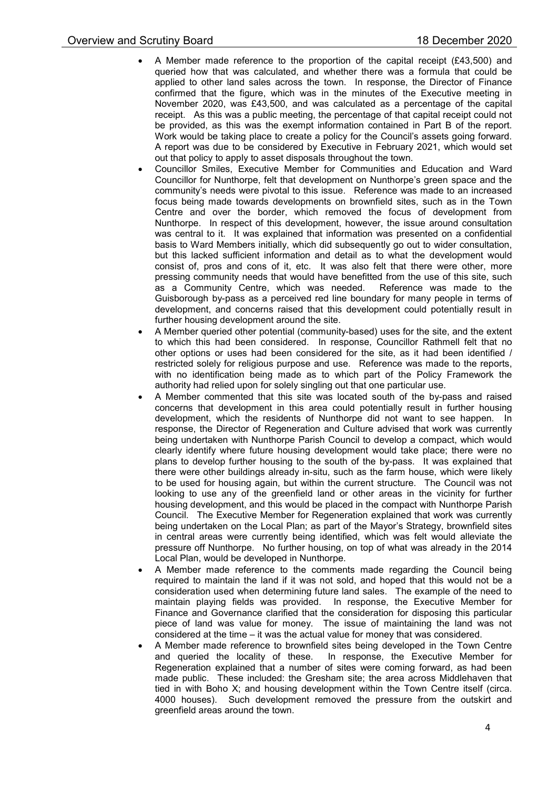- A Member made reference to the proportion of the capital receipt (£43,500) and queried how that was calculated, and whether there was a formula that could be applied to other land sales across the town. In response, the Director of Finance confirmed that the figure, which was in the minutes of the Executive meeting in November 2020, was £43,500, and was calculated as a percentage of the capital receipt. As this was a public meeting, the percentage of that capital receipt could not be provided, as this was the exempt information contained in Part B of the report. Work would be taking place to create a policy for the Council's assets going forward. A report was due to be considered by Executive in February 2021, which would set out that policy to apply to asset disposals throughout the town.
- Councillor Smiles, Executive Member for Communities and Education and Ward Councillor for Nunthorpe, felt that development on Nunthorpe's green space and the community's needs were pivotal to this issue. Reference was made to an increased focus being made towards developments on brownfield sites, such as in the Town Centre and over the border, which removed the focus of development from Nunthorpe. In respect of this development, however, the issue around consultation was central to it. It was explained that information was presented on a confidential basis to Ward Members initially, which did subsequently go out to wider consultation, but this lacked sufficient information and detail as to what the development would consist of, pros and cons of it, etc. It was also felt that there were other, more pressing community needs that would have benefitted from the use of this site, such as a Community Centre, which was needed. Reference was made to the Guisborough by-pass as a perceived red line boundary for many people in terms of development, and concerns raised that this development could potentially result in further housing development around the site.
- A Member queried other potential (community-based) uses for the site, and the extent to which this had been considered. In response, Councillor Rathmell felt that no other options or uses had been considered for the site, as it had been identified / restricted solely for religious purpose and use. Reference was made to the reports, with no identification being made as to which part of the Policy Framework the authority had relied upon for solely singling out that one particular use.
- A Member commented that this site was located south of the by-pass and raised concerns that development in this area could potentially result in further housing development, which the residents of Nunthorpe did not want to see happen. In response, the Director of Regeneration and Culture advised that work was currently being undertaken with Nunthorpe Parish Council to develop a compact, which would clearly identify where future housing development would take place; there were no plans to develop further housing to the south of the by-pass. It was explained that there were other buildings already in-situ, such as the farm house, which were likely to be used for housing again, but within the current structure. The Council was not looking to use any of the greenfield land or other areas in the vicinity for further housing development, and this would be placed in the compact with Nunthorpe Parish Council. The Executive Member for Regeneration explained that work was currently being undertaken on the Local Plan; as part of the Mayor's Strategy, brownfield sites in central areas were currently being identified, which was felt would alleviate the pressure off Nunthorpe. No further housing, on top of what was already in the 2014 Local Plan, would be developed in Nunthorpe.
- A Member made reference to the comments made regarding the Council being required to maintain the land if it was not sold, and hoped that this would not be a consideration used when determining future land sales. The example of the need to maintain playing fields was provided. In response, the Executive Member for Finance and Governance clarified that the consideration for disposing this particular piece of land was value for money. The issue of maintaining the land was not considered at the time – it was the actual value for money that was considered.
- A Member made reference to brownfield sites being developed in the Town Centre and queried the locality of these. In response, the Executive Member for Regeneration explained that a number of sites were coming forward, as had been made public. These included: the Gresham site; the area across Middlehaven that tied in with Boho X; and housing development within the Town Centre itself (circa. 4000 houses). Such development removed the pressure from the outskirt and greenfield areas around the town.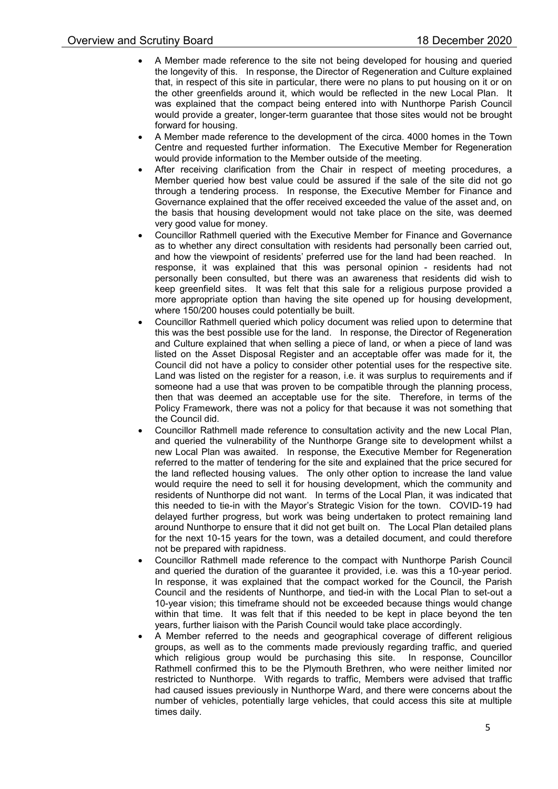- A Member made reference to the site not being developed for housing and queried the longevity of this. In response, the Director of Regeneration and Culture explained that, in respect of this site in particular, there were no plans to put housing on it or on the other greenfields around it, which would be reflected in the new Local Plan. It was explained that the compact being entered into with Nunthorpe Parish Council would provide a greater, longer-term guarantee that those sites would not be brought forward for housing.
- A Member made reference to the development of the circa. 4000 homes in the Town Centre and requested further information. The Executive Member for Regeneration would provide information to the Member outside of the meeting.
- After receiving clarification from the Chair in respect of meeting procedures, a Member queried how best value could be assured if the sale of the site did not go through a tendering process. In response, the Executive Member for Finance and Governance explained that the offer received exceeded the value of the asset and, on the basis that housing development would not take place on the site, was deemed very good value for money.
- Councillor Rathmell queried with the Executive Member for Finance and Governance as to whether any direct consultation with residents had personally been carried out, and how the viewpoint of residents' preferred use for the land had been reached. In response, it was explained that this was personal opinion - residents had not personally been consulted, but there was an awareness that residents did wish to keep greenfield sites. It was felt that this sale for a religious purpose provided a more appropriate option than having the site opened up for housing development, where 150/200 houses could potentially be built.
- Councillor Rathmell queried which policy document was relied upon to determine that this was the best possible use for the land. In response, the Director of Regeneration and Culture explained that when selling a piece of land, or when a piece of land was listed on the Asset Disposal Register and an acceptable offer was made for it, the Council did not have a policy to consider other potential uses for the respective site. Land was listed on the register for a reason, i.e. it was surplus to requirements and if someone had a use that was proven to be compatible through the planning process, then that was deemed an acceptable use for the site. Therefore, in terms of the Policy Framework, there was not a policy for that because it was not something that the Council did.
- Councillor Rathmell made reference to consultation activity and the new Local Plan, and queried the vulnerability of the Nunthorpe Grange site to development whilst a new Local Plan was awaited. In response, the Executive Member for Regeneration referred to the matter of tendering for the site and explained that the price secured for the land reflected housing values. The only other option to increase the land value would require the need to sell it for housing development, which the community and residents of Nunthorpe did not want. In terms of the Local Plan, it was indicated that this needed to tie-in with the Mayor's Strategic Vision for the town. COVID-19 had delayed further progress, but work was being undertaken to protect remaining land around Nunthorpe to ensure that it did not get built on. The Local Plan detailed plans for the next 10-15 years for the town, was a detailed document, and could therefore not be prepared with rapidness.
- Councillor Rathmell made reference to the compact with Nunthorpe Parish Council and queried the duration of the guarantee it provided, i.e. was this a 10-year period. In response, it was explained that the compact worked for the Council, the Parish Council and the residents of Nunthorpe, and tied-in with the Local Plan to set-out a 10-year vision; this timeframe should not be exceeded because things would change within that time. It was felt that if this needed to be kept in place beyond the ten years, further liaison with the Parish Council would take place accordingly.
- A Member referred to the needs and geographical coverage of different religious groups, as well as to the comments made previously regarding traffic, and queried which religious group would be purchasing this site. In response, Councillor which religious group would be purchasing this site. Rathmell confirmed this to be the Plymouth Brethren, who were neither limited nor restricted to Nunthorpe. With regards to traffic, Members were advised that traffic had caused issues previously in Nunthorpe Ward, and there were concerns about the number of vehicles, potentially large vehicles, that could access this site at multiple times daily.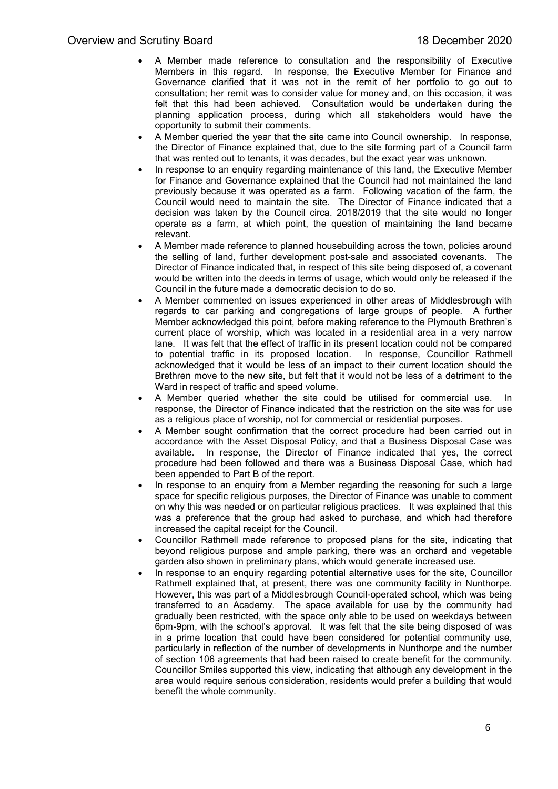- A Member made reference to consultation and the responsibility of Executive Members in this regard. In response, the Executive Member for Finance and Governance clarified that it was not in the remit of her portfolio to go out to consultation; her remit was to consider value for money and, on this occasion, it was felt that this had been achieved. Consultation would be undertaken during the planning application process, during which all stakeholders would have the opportunity to submit their comments.
- A Member queried the year that the site came into Council ownership. In response, the Director of Finance explained that, due to the site forming part of a Council farm that was rented out to tenants, it was decades, but the exact year was unknown.
- In response to an enquiry regarding maintenance of this land, the Executive Member for Finance and Governance explained that the Council had not maintained the land previously because it was operated as a farm. Following vacation of the farm, the Council would need to maintain the site. The Director of Finance indicated that a decision was taken by the Council circa. 2018/2019 that the site would no longer operate as a farm, at which point, the question of maintaining the land became relevant.
- A Member made reference to planned housebuilding across the town, policies around the selling of land, further development post-sale and associated covenants. The Director of Finance indicated that, in respect of this site being disposed of, a covenant would be written into the deeds in terms of usage, which would only be released if the Council in the future made a democratic decision to do so.
- A Member commented on issues experienced in other areas of Middlesbrough with regards to car parking and congregations of large groups of people. A further Member acknowledged this point, before making reference to the Plymouth Brethren's current place of worship, which was located in a residential area in a very narrow lane. It was felt that the effect of traffic in its present location could not be compared to potential traffic in its proposed location. In response, Councillor Rathmell acknowledged that it would be less of an impact to their current location should the Brethren move to the new site, but felt that it would not be less of a detriment to the Ward in respect of traffic and speed volume.
- A Member queried whether the site could be utilised for commercial use. In response, the Director of Finance indicated that the restriction on the site was for use as a religious place of worship, not for commercial or residential purposes.
- A Member sought confirmation that the correct procedure had been carried out in accordance with the Asset Disposal Policy, and that a Business Disposal Case was available. In response, the Director of Finance indicated that yes, the correct procedure had been followed and there was a Business Disposal Case, which had been appended to Part B of the report.
- In response to an enquiry from a Member regarding the reasoning for such a large space for specific religious purposes, the Director of Finance was unable to comment on why this was needed or on particular religious practices. It was explained that this was a preference that the group had asked to purchase, and which had therefore increased the capital receipt for the Council.
- Councillor Rathmell made reference to proposed plans for the site, indicating that beyond religious purpose and ample parking, there was an orchard and vegetable garden also shown in preliminary plans, which would generate increased use.
- In response to an enquiry regarding potential alternative uses for the site, Councillor Rathmell explained that, at present, there was one community facility in Nunthorpe. However, this was part of a Middlesbrough Council-operated school, which was being transferred to an Academy. The space available for use by the community had gradually been restricted, with the space only able to be used on weekdays between 6pm-9pm, with the school's approval. It was felt that the site being disposed of was in a prime location that could have been considered for potential community use, particularly in reflection of the number of developments in Nunthorpe and the number of section 106 agreements that had been raised to create benefit for the community. Councillor Smiles supported this view, indicating that although any development in the area would require serious consideration, residents would prefer a building that would benefit the whole community.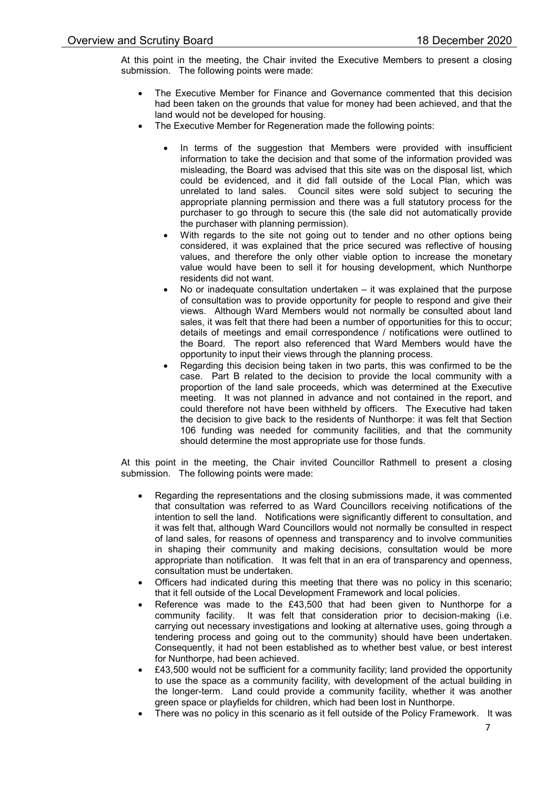At this point in the meeting, the Chair invited the Executive Members to present a closing submission. The following points were made:

- The Executive Member for Finance and Governance commented that this decision had been taken on the grounds that value for money had been achieved, and that the land would not be developed for housing.
- The Executive Member for Regeneration made the following points:
	- In terms of the suggestion that Members were provided with insufficient information to take the decision and that some of the information provided was misleading, the Board was advised that this site was on the disposal list, which could be evidenced, and it did fall outside of the Local Plan, which was unrelated to land sales. Council sites were sold subject to securing the appropriate planning permission and there was a full statutory process for the purchaser to go through to secure this (the sale did not automatically provide the purchaser with planning permission).
	- With regards to the site not going out to tender and no other options being considered, it was explained that the price secured was reflective of housing values, and therefore the only other viable option to increase the monetary value would have been to sell it for housing development, which Nunthorpe residents did not want.
	- No or inadequate consultation undertaken it was explained that the purpose of consultation was to provide opportunity for people to respond and give their views. Although Ward Members would not normally be consulted about land sales, it was felt that there had been a number of opportunities for this to occur; details of meetings and email correspondence / notifications were outlined to the Board. The report also referenced that Ward Members would have the opportunity to input their views through the planning process.
	- Regarding this decision being taken in two parts, this was confirmed to be the case. Part B related to the decision to provide the local community with a proportion of the land sale proceeds, which was determined at the Executive meeting. It was not planned in advance and not contained in the report, and could therefore not have been withheld by officers. The Executive had taken the decision to give back to the residents of Nunthorpe: it was felt that Section 106 funding was needed for community facilities, and that the community should determine the most appropriate use for those funds.

At this point in the meeting, the Chair invited Councillor Rathmell to present a closing submission. The following points were made:

- Regarding the representations and the closing submissions made, it was commented that consultation was referred to as Ward Councillors receiving notifications of the intention to sell the land. Notifications were significantly different to consultation, and it was felt that, although Ward Councillors would not normally be consulted in respect of land sales, for reasons of openness and transparency and to involve communities in shaping their community and making decisions, consultation would be more appropriate than notification. It was felt that in an era of transparency and openness, consultation must be undertaken.
- Officers had indicated during this meeting that there was no policy in this scenario; that it fell outside of the Local Development Framework and local policies.
- Reference was made to the £43,500 that had been given to Nunthorpe for a community facility. It was felt that consideration prior to decision-making (i.e. carrying out necessary investigations and looking at alternative uses, going through a tendering process and going out to the community) should have been undertaken. Consequently, it had not been established as to whether best value, or best interest for Nunthorpe, had been achieved.
- £43,500 would not be sufficient for a community facility; land provided the opportunity to use the space as a community facility, with development of the actual building in the longer-term. Land could provide a community facility, whether it was another green space or playfields for children, which had been lost in Nunthorpe.
- There was no policy in this scenario as it fell outside of the Policy Framework. It was